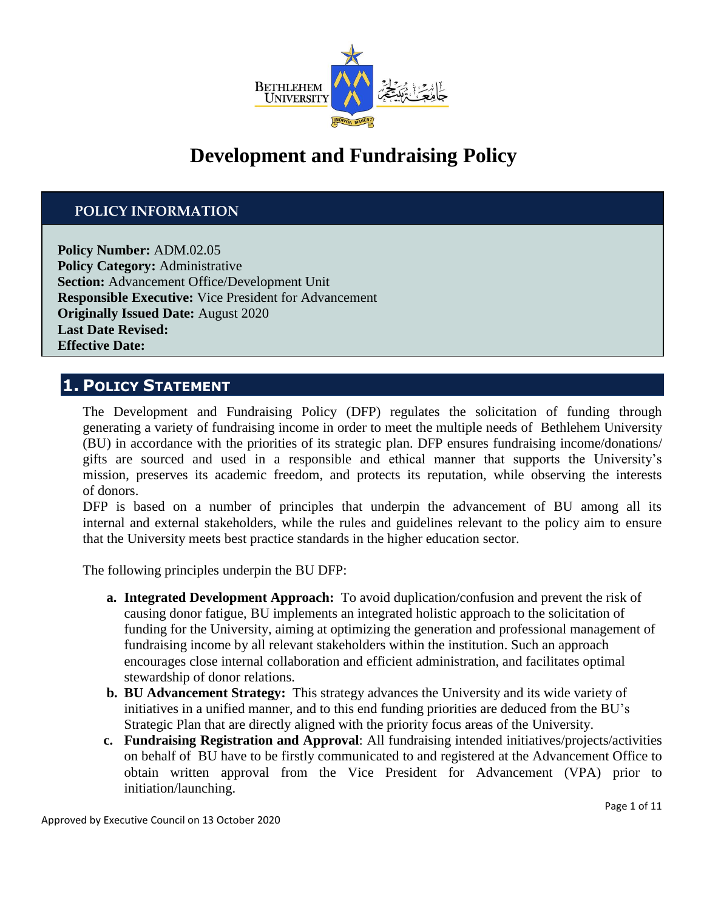

# **Development and Fundraising Policy**

## **POLICY INFORMATION**

**Policy Number:** ADM.02.05 **Policy Category:** Administrative **Section:** Advancement Office/Development Unit **Responsible Executive:** Vice President for Advancement **Originally Issued Date:** August 2020 **Last Date Revised: Effective Date:**

## **1. POLICY STATEMENT**

The Development and Fundraising Policy (DFP) regulates the solicitation of funding through generating a variety of fundraising income in order to meet the multiple needs of Bethlehem University (BU) in accordance with the priorities of its strategic plan. DFP ensures fundraising income/donations/ gifts are sourced and used in a responsible and ethical manner that supports the University's mission, preserves its academic freedom, and protects its reputation, while observing the interests of donors.

DFP is based on a number of principles that underpin the advancement of BU among all its internal and external stakeholders, while the rules and guidelines relevant to the policy aim to ensure that the University meets best practice standards in the higher education sector.

The following principles underpin the BU DFP:

- **a. Integrated Development Approach:** To avoid duplication/confusion and prevent the risk of causing donor fatigue, BU implements an integrated holistic approach to the solicitation of funding for the University, aiming at optimizing the generation and professional management of fundraising income by all relevant stakeholders within the institution. Such an approach encourages close internal collaboration and efficient administration, and facilitates optimal stewardship of donor relations.
- **b. BU Advancement Strategy:** This strategy advances the University and its wide variety of initiatives in a unified manner, and to this end funding priorities are deduced from the BU's Strategic Plan that are directly aligned with the priority focus areas of the University.
- **c. Fundraising Registration and Approval**: All fundraising intended initiatives/projects/activities on behalf of BU have to be firstly communicated to and registered at the Advancement Office to obtain written approval from the Vice President for Advancement (VPA) prior to initiation/launching.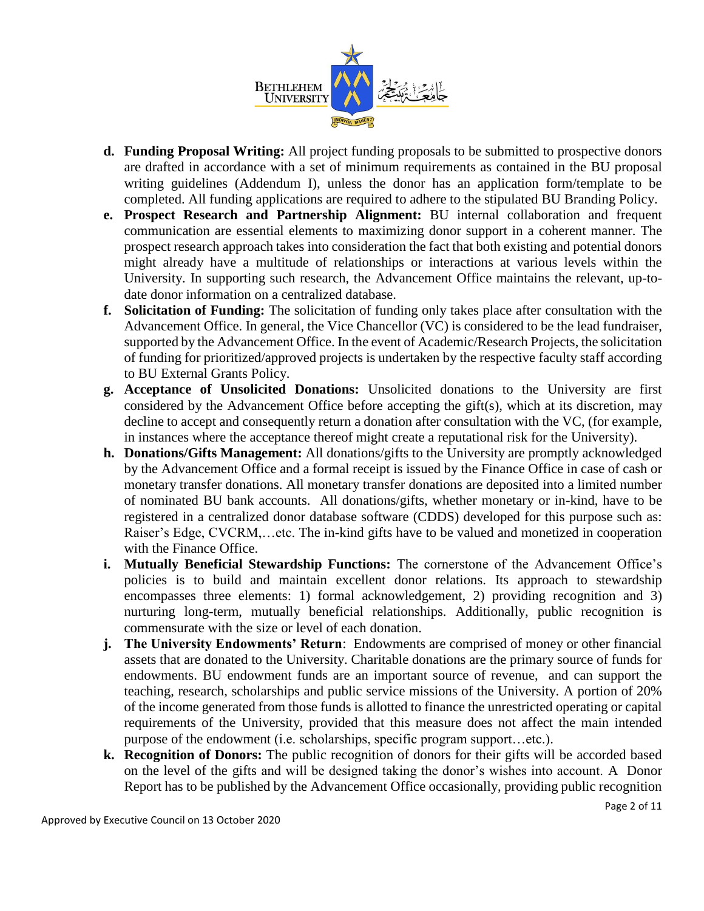

- **d. Funding Proposal Writing:** All project funding proposals to be submitted to prospective donors are drafted in accordance with a set of minimum requirements as contained in the BU proposal writing guidelines (Addendum I), unless the donor has an application form/template to be completed. All funding applications are required to adhere to the stipulated BU Branding Policy.
- **e. Prospect Research and Partnership Alignment:** BU internal collaboration and frequent communication are essential elements to maximizing donor support in a coherent manner. The prospect research approach takes into consideration the fact that both existing and potential donors might already have a multitude of relationships or interactions at various levels within the University. In supporting such research, the Advancement Office maintains the relevant, up-todate donor information on a centralized database.
- **f. Solicitation of Funding:** The solicitation of funding only takes place after consultation with the Advancement Office. In general, the Vice Chancellor (VC) is considered to be the lead fundraiser, supported by the Advancement Office. In the event of Academic/Research Projects, the solicitation of funding for prioritized/approved projects is undertaken by the respective faculty staff according to BU External Grants Policy.
- **g. Acceptance of Unsolicited Donations:** Unsolicited donations to the University are first considered by the Advancement Office before accepting the gift(s), which at its discretion, may decline to accept and consequently return a donation after consultation with the VC, (for example, in instances where the acceptance thereof might create a reputational risk for the University).
- **h. Donations/Gifts Management:** All donations/gifts to the University are promptly acknowledged by the Advancement Office and a formal receipt is issued by the Finance Office in case of cash or monetary transfer donations. All monetary transfer donations are deposited into a limited number of nominated BU bank accounts. All donations/gifts, whether monetary or in-kind, have to be registered in a centralized donor database software (CDDS) developed for this purpose such as: Raiser's Edge, CVCRM,…etc. The in-kind gifts have to be valued and monetized in cooperation with the Finance Office.
- **i. Mutually Beneficial Stewardship Functions:** The cornerstone of the Advancement Office's policies is to build and maintain excellent donor relations. Its approach to stewardship encompasses three elements: 1) formal acknowledgement, 2) providing recognition and 3) nurturing long-term, mutually beneficial relationships. Additionally, public recognition is commensurate with the size or level of each donation.
- **j. The University Endowments' Return**: Endowments are comprised of money or other financial assets that are donated to the University. Charitable donations are the primary source of funds for endowments. BU endowment funds are an important source of revenue, and can support the teaching, research, scholarships and public service missions of the University. A portion of 20% of the income generated from those funds is allotted to finance the unrestricted operating or capital requirements of the University, provided that this measure does not affect the main intended purpose of the endowment (i.e. scholarships, specific program support…etc.).
- **k. Recognition of Donors:** The public recognition of donors for their gifts will be accorded based on the level of the gifts and will be designed taking the donor's wishes into account. A Donor Report has to be published by the Advancement Office occasionally, providing public recognition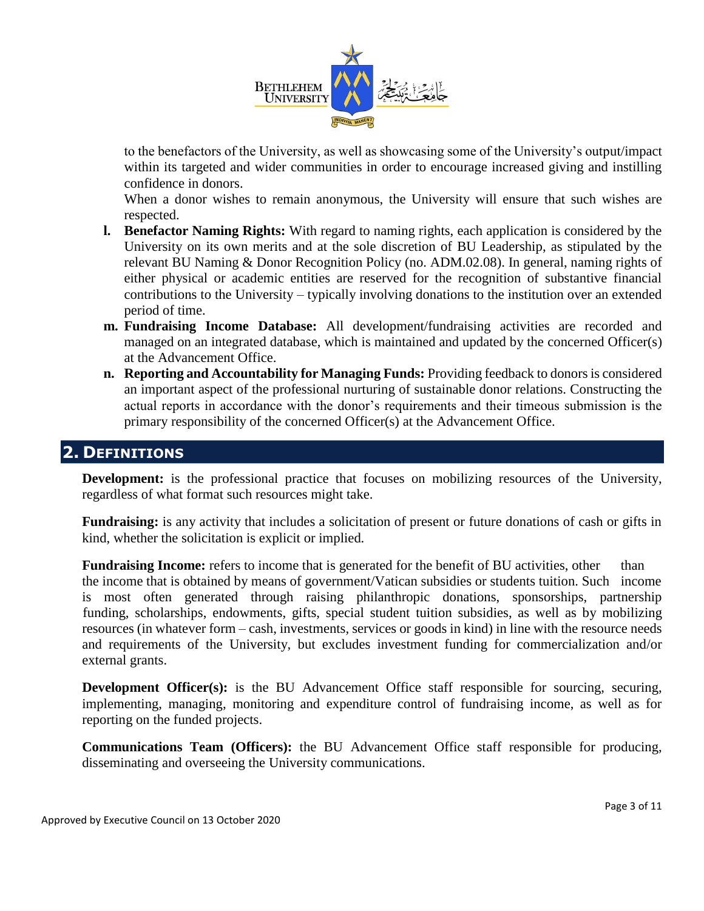

to the benefactors of the University, as well as showcasing some of the University's output/impact within its targeted and wider communities in order to encourage increased giving and instilling confidence in donors.

When a donor wishes to remain anonymous, the University will ensure that such wishes are respected.

- **l. Benefactor Naming Rights:** With regard to naming rights, each application is considered by the University on its own merits and at the sole discretion of BU Leadership, as stipulated by the relevant BU Naming & Donor Recognition Policy (no. ADM.02.08). In general, naming rights of either physical or academic entities are reserved for the recognition of substantive financial contributions to the University – typically involving donations to the institution over an extended period of time.
- **m. Fundraising Income Database:** All development/fundraising activities are recorded and managed on an integrated database, which is maintained and updated by the concerned Officer(s) at the Advancement Office.
- **n. Reporting and Accountability for Managing Funds:** Providing feedback to donors is considered an important aspect of the professional nurturing of sustainable donor relations. Constructing the actual reports in accordance with the donor's requirements and their timeous submission is the primary responsibility of the concerned Officer(s) at the Advancement Office.

## **2. DEFINITIONS**

**Development:** is the professional practice that focuses on mobilizing resources of the University, regardless of what format such resources might take.

**Fundraising:** is any activity that includes a solicitation of present or future donations of cash or gifts in kind, whether the solicitation is explicit or implied.

**Fundraising Income:** refers to income that is generated for the benefit of BU activities, other than the income that is obtained by means of government/Vatican subsidies or students tuition. Such income is most often generated through raising philanthropic donations, sponsorships, partnership funding, scholarships, endowments, gifts, special student tuition subsidies, as well as by mobilizing resources (in whatever form – cash, investments, services or goods in kind) in line with the resource needs and requirements of the University, but excludes investment funding for commercialization and/or external grants.

**Development Officer(s):** is the BU Advancement Office staff responsible for sourcing, securing, implementing, managing, monitoring and expenditure control of fundraising income, as well as for reporting on the funded projects.

**Communications Team (Officers):** the BU Advancement Office staff responsible for producing, disseminating and overseeing the University communications.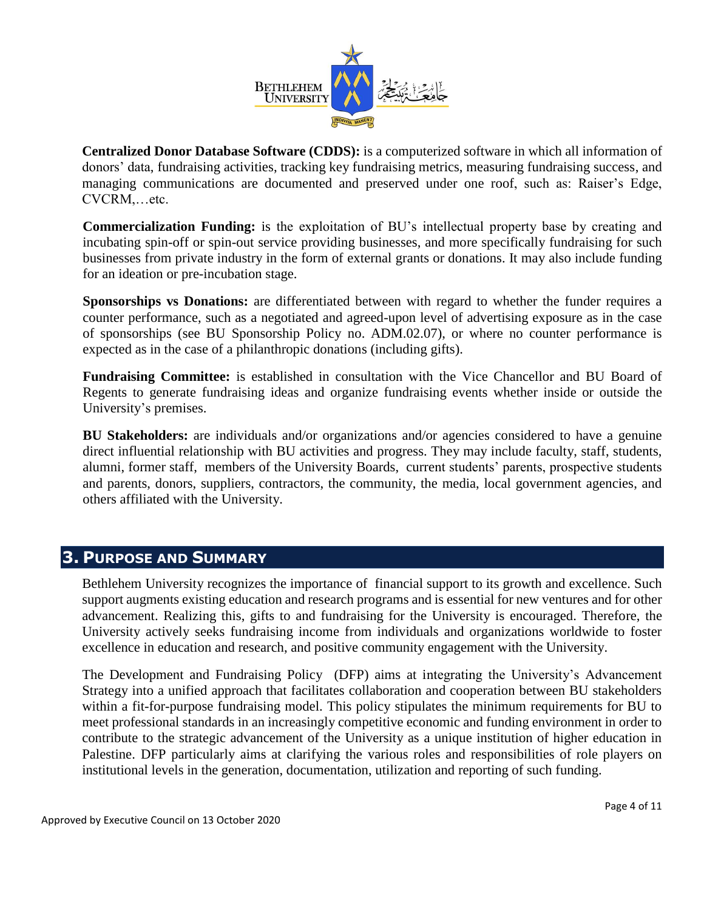

**Centralized Donor Database Software (CDDS):** is a computerized software in which all information of donors' data, fundraising activities, tracking key fundraising metrics, measuring fundraising success, and managing communications are documented and preserved under one roof, such as: Raiser's Edge, CVCRM,…etc.

**Commercialization Funding:** is the exploitation of BU's intellectual property base by creating and incubating spin-off or spin-out service providing businesses, and more specifically fundraising for such businesses from private industry in the form of external grants or donations. It may also include funding for an ideation or pre-incubation stage.

**Sponsorships vs Donations:** are differentiated between with regard to whether the funder requires a counter performance, such as a negotiated and agreed-upon level of advertising exposure as in the case of sponsorships (see BU Sponsorship Policy no. ADM.02.07), or where no counter performance is expected as in the case of a philanthropic donations (including gifts).

**Fundraising Committee:** is established in consultation with the Vice Chancellor and BU Board of Regents to generate fundraising ideas and organize fundraising events whether inside or outside the University's premises.

**BU Stakeholders:** are individuals and/or organizations and/or agencies considered to have a genuine direct influential relationship with BU activities and progress. They may include faculty, staff, students, alumni, former staff, members of the University Boards, current students' parents, prospective students and parents, donors, suppliers, contractors, the community, the media, local government agencies, and others affiliated with the University.

## **3. PURPOSE AND SUMMARY**

Bethlehem University recognizes the importance of financial support to its growth and excellence. Such support augments existing education and research programs and is essential for new ventures and for other advancement. Realizing this, gifts to and fundraising for the University is encouraged. Therefore, the University actively seeks fundraising income from individuals and organizations worldwide to foster excellence in education and research, and positive community engagement with the University.

The Development and Fundraising Policy (DFP) aims at integrating the University's Advancement Strategy into a unified approach that facilitates collaboration and cooperation between BU stakeholders within a fit-for-purpose fundraising model. This policy stipulates the minimum requirements for BU to meet professional standards in an increasingly competitive economic and funding environment in order to contribute to the strategic advancement of the University as a unique institution of higher education in Palestine. DFP particularly aims at clarifying the various roles and responsibilities of role players on institutional levels in the generation, documentation, utilization and reporting of such funding.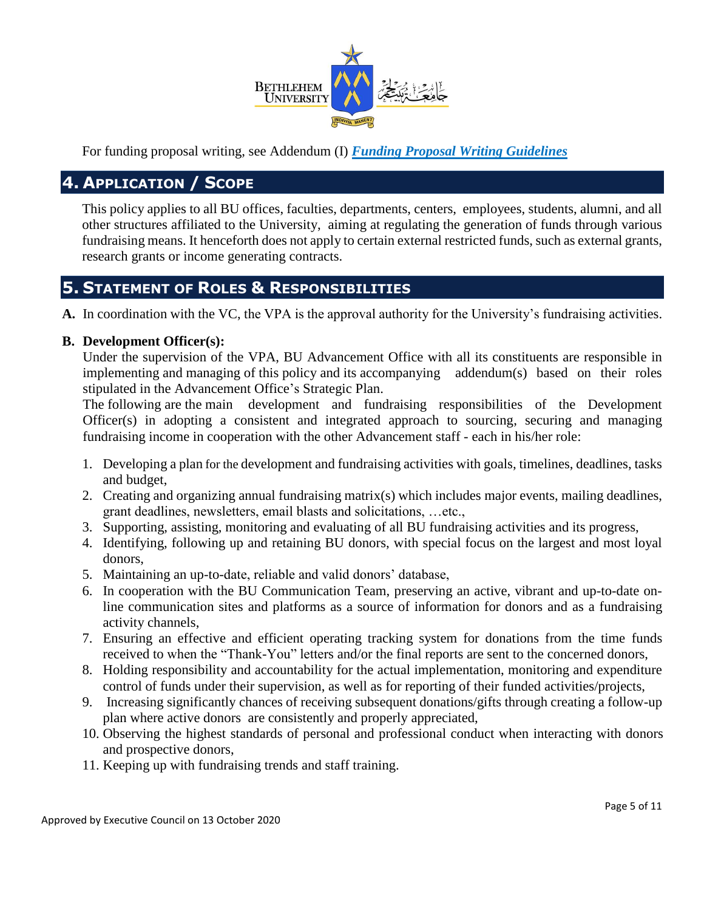

For funding proposal writing, see Addendum (I) *Funding Proposal Writing Guidelines*

## **4. APPLICATION / SCOPE**

This policy applies to all BU offices, faculties, departments, centers, employees, students, alumni, and all other structures affiliated to the University, aiming at regulating the generation of funds through various fundraising means. It henceforth does not apply to certain external restricted funds, such as external grants, research grants or income generating contracts.

## **5. STATEMENT OF ROLES & RESPONSIBILITIES**

**A.** In coordination with the VC, the VPA is the approval authority for the University's fundraising activities.

## **B. Development Officer(s):**

Under the supervision of the VPA, BU Advancement Office with all its constituents are responsible in implementing and managing of this policy and its accompanying addendum(s) based on their roles stipulated in the Advancement Office's Strategic Plan.

The following are the main development and fundraising responsibilities of the Development Officer(s) in adopting a consistent and integrated approach to sourcing, securing and managing fundraising income in cooperation with the other Advancement staff - each in his/her role:

- 1. Developing a plan for the development and fundraising activities with goals, timelines, deadlines, tasks and budget,
- 2. Creating and organizing annual fundraising matrix(s) which includes major events, mailing deadlines, grant deadlines, newsletters, email blasts and solicitations, …etc.,
- 3. Supporting, assisting, monitoring and evaluating of all BU fundraising activities and its progress,
- 4. Identifying, following up and retaining BU donors, with special focus on the largest and most loyal donors,
- 5. Maintaining an up-to-date, reliable and valid donors' database,
- 6. In cooperation with the BU Communication Team, preserving an active, vibrant and up-to-date online communication sites and platforms as a source of information for donors and as a fundraising activity channels,
- 7. Ensuring an effective and efficient operating tracking system for donations from the time funds received to when the "Thank-You" letters and/or the final reports are sent to the concerned donors,
- 8. Holding responsibility and accountability for the actual implementation, monitoring and expenditure control of funds under their supervision, as well as for reporting of their funded activities/projects,
- 9. Increasing significantly chances of receiving subsequent donations/gifts through creating a follow-up plan where active donors are consistently and properly appreciated,
- 10. Observing the highest standards of personal and professional conduct when interacting with donors and prospective donors,
- 11. Keeping up with fundraising trends and staff training.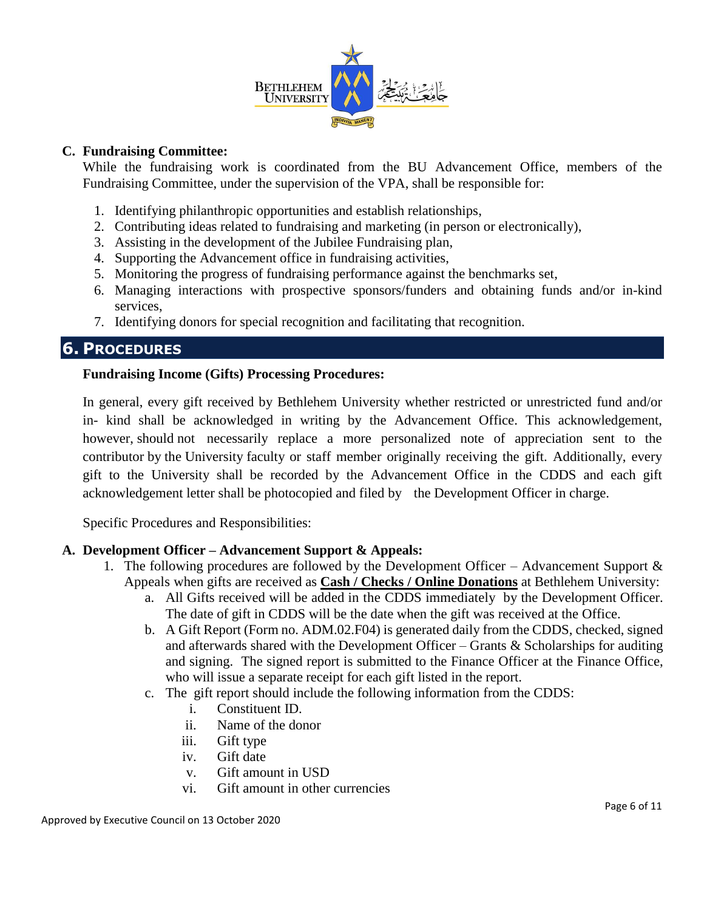

#### **C. Fundraising Committee:**

While the fundraising work is coordinated from the BU Advancement Office, members of the Fundraising Committee, under the supervision of the VPA, shall be responsible for:

- 1. Identifying philanthropic opportunities and establish relationships,
- 2. Contributing ideas related to fundraising and marketing (in person or electronically),
- 3. Assisting in the development of the Jubilee Fundraising plan,
- 4. Supporting the Advancement office in fundraising activities,
- 5. Monitoring the progress of fundraising performance against the benchmarks set,
- 6. Managing interactions with prospective sponsors/funders and obtaining funds and/or in-kind services,
- 7. Identifying donors for special recognition and facilitating that recognition.

## **6. PROCEDURES**

#### **Fundraising Income (Gifts) Processing Procedures:**

In general, every gift received by Bethlehem University whether restricted or unrestricted fund and/or in- kind shall be acknowledged in writing by the Advancement Office. This acknowledgement, however, should not necessarily replace a more personalized note of appreciation sent to the contributor by the University faculty or staff member originally receiving the gift. Additionally, every gift to the University shall be recorded by the Advancement Office in the CDDS and each gift acknowledgement letter shall be photocopied and filed by the Development Officer in charge.

Specific Procedures and Responsibilities:

## **A. Development Officer – Advancement Support & Appeals:**

- 1. The following procedures are followed by the Development Officer Advancement Support & Appeals when gifts are received as **Cash / Checks / Online Donations** at Bethlehem University:
	- a. All Gifts received will be added in the CDDS immediately by the Development Officer. The date of gift in CDDS will be the date when the gift was received at the Office.
	- b. A Gift Report (Form no. ADM.02.F04) is generated daily from the CDDS, checked, signed and afterwards shared with the Development Officer – Grants  $\&$  Scholarships for auditing and signing. The signed report is submitted to the Finance Officer at the Finance Office, who will issue a separate receipt for each gift listed in the report.
	- c. The gift report should include the following information from the CDDS:
		- i. Constituent ID.
		- ii. Name of the donor
		- iii. Gift type
		- iv. Gift date
		- v. Gift amount in USD
		- vi. Gift amount in other currencies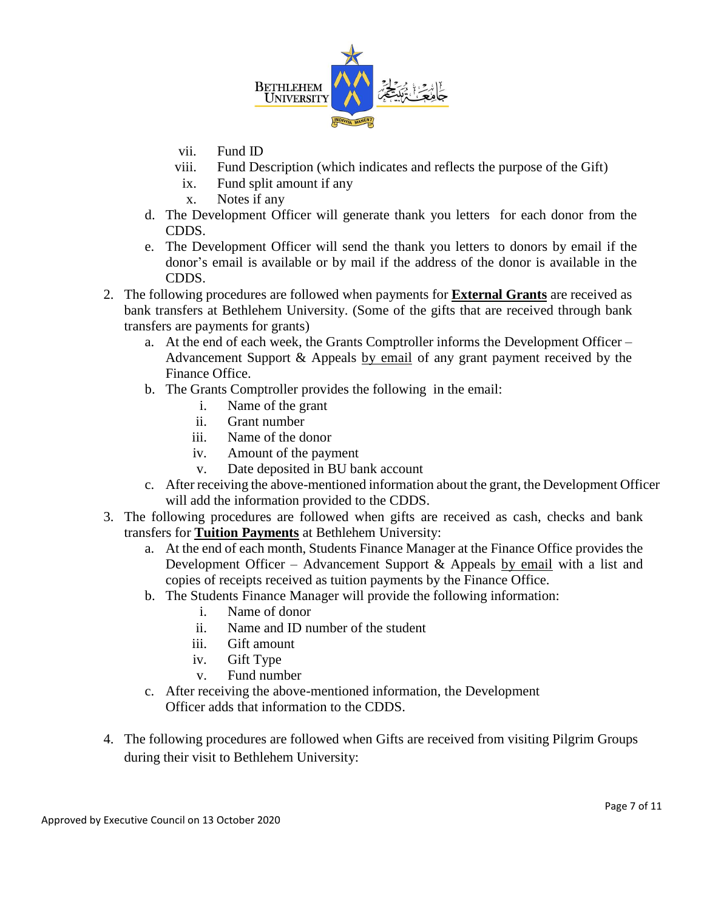

- vii. Fund ID
- viii. Fund Description (which indicates and reflects the purpose of the Gift)
- ix. Fund split amount if any
- x. Notes if any
- d. The Development Officer will generate thank you letters for each donor from the CDDS.
- e. The Development Officer will send the thank you letters to donors by email if the donor's email is available or by mail if the address of the donor is available in the CDDS.
- 2. The following procedures are followed when payments for **External Grants** are received as bank transfers at Bethlehem University. (Some of the gifts that are received through bank transfers are payments for grants)
	- a. At the end of each week, the Grants Comptroller informs the Development Officer Advancement Support & Appeals by email of any grant payment received by the Finance Office.
	- b. The Grants Comptroller provides the following in the email:
		- i. Name of the grant
		- ii. Grant number
		- iii. Name of the donor
		- iv. Amount of the payment
		- v. Date deposited in BU bank account
	- c. After receiving the above-mentioned information about the grant, the Development Officer will add the information provided to the CDDS.
- 3. The following procedures are followed when gifts are received as cash, checks and bank transfers for **Tuition Payments** at Bethlehem University:
	- a. At the end of each month, Students Finance Manager at the Finance Office provides the Development Officer – Advancement Support & Appeals by email with a list and copies of receipts received as tuition payments by the Finance Office.
	- b. The Students Finance Manager will provide the following information:
		- i. Name of donor
		- ii. Name and ID number of the student
		- iii. Gift amount
		- iv. Gift Type
		- v. Fund number
	- c. After receiving the above-mentioned information, the Development Officer adds that information to the CDDS.
- 4. The following procedures are followed when Gifts are received from visiting Pilgrim Groups during their visit to Bethlehem University: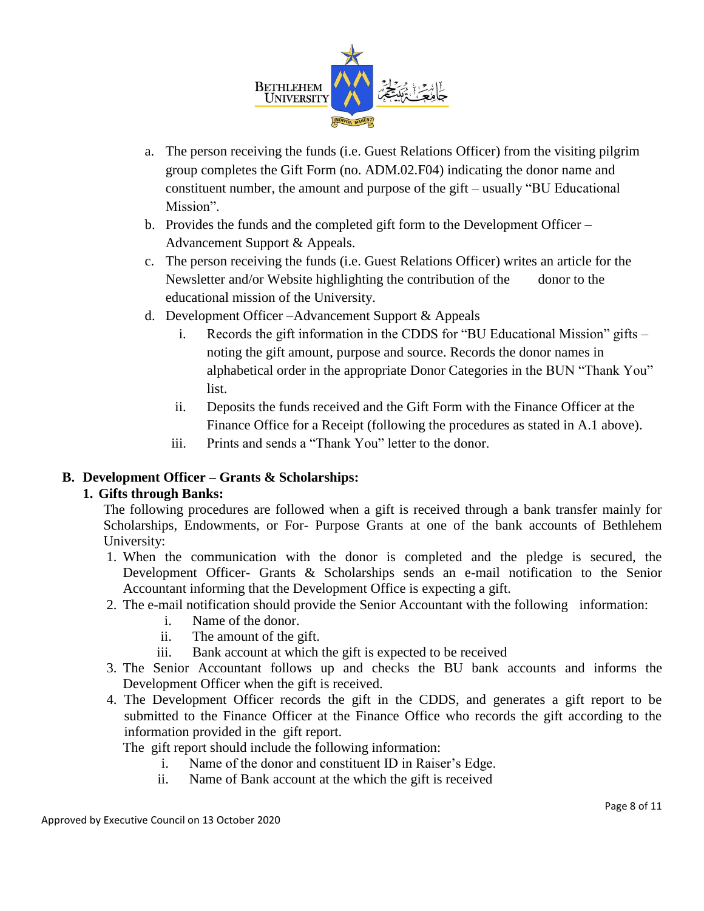

- a. The person receiving the funds (i.e. Guest Relations Officer) from the visiting pilgrim group completes the Gift Form (no. ADM.02.F04) indicating the donor name and constituent number, the amount and purpose of the gift – usually "BU Educational Mission".
- b. Provides the funds and the completed gift form to the Development Officer Advancement Support & Appeals.
- c. The person receiving the funds (i.e. Guest Relations Officer) writes an article for the Newsletter and/or Website highlighting the contribution of the donor to the educational mission of the University.
- d. Development Officer –Advancement Support & Appeals
	- i. Records the gift information in the CDDS for "BU Educational Mission" gifts noting the gift amount, purpose and source. Records the donor names in alphabetical order in the appropriate Donor Categories in the BUN "Thank You" list.
	- ii. Deposits the funds received and the Gift Form with the Finance Officer at the Finance Office for a Receipt (following the procedures as stated in A.1 above).
	- iii. Prints and sends a "Thank You" letter to the donor.

## **B. Development Officer – Grants & Scholarships:**

## **1. Gifts through Banks:**

The following procedures are followed when a gift is received through a bank transfer mainly for Scholarships, Endowments, or For- Purpose Grants at one of the bank accounts of Bethlehem University:

- 1. When the communication with the donor is completed and the pledge is secured, the Development Officer- Grants & Scholarships sends an e-mail notification to the Senior Accountant informing that the Development Office is expecting a gift.
- 2. The e-mail notification should provide the Senior Accountant with the following information:
	- i. Name of the donor.
	- ii. The amount of the gift.
	- iii. Bank account at which the gift is expected to be received
- 3. The Senior Accountant follows up and checks the BU bank accounts and informs the Development Officer when the gift is received.
- 4. The Development Officer records the gift in the CDDS, and generates a gift report to be submitted to the Finance Officer at the Finance Office who records the gift according to the information provided in the gift report.

The gift report should include the following information:

- i. Name of the donor and constituent ID in Raiser's Edge.
- ii. Name of Bank account at the which the gift is received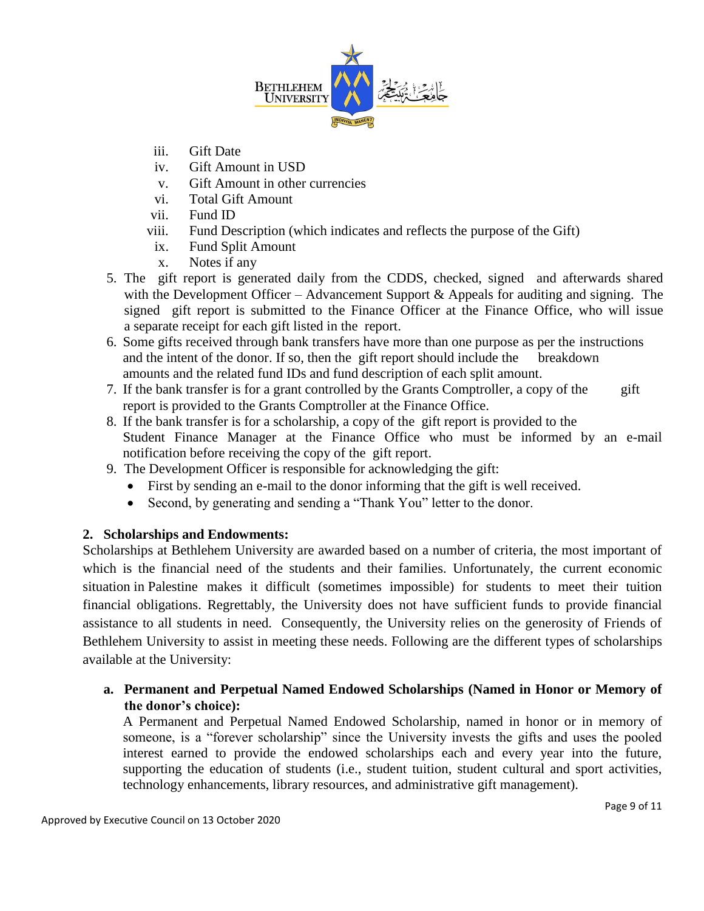

- iii. Gift Date
- iv. Gift Amount in USD
- v. Gift Amount in other currencies
- vi. Total Gift Amount
- vii. Fund ID
- viii. Fund Description (which indicates and reflects the purpose of the Gift)
- ix. Fund Split Amount
- x. Notes if any
- 5. The gift report is generated daily from the CDDS, checked, signed and afterwards shared with the Development Officer – Advancement Support  $\&$  Appeals for auditing and signing. The signed gift report is submitted to the Finance Officer at the Finance Office, who will issue a separate receipt for each gift listed in the report.
- 6. Some gifts received through bank transfers have more than one purpose as per the instructions and the intent of the donor. If so, then the gift report should include the breakdown amounts and the related fund IDs and fund description of each split amount.
- 7. If the bank transfer is for a grant controlled by the Grants Comptroller, a copy of the gift report is provided to the Grants Comptroller at the Finance Office.
- 8. If the bank transfer is for a scholarship, a copy of the gift report is provided to the Student Finance Manager at the Finance Office who must be informed by an e-mail notification before receiving the copy of the gift report.
- 9. The Development Officer is responsible for acknowledging the gift:
	- First by sending an e-mail to the donor informing that the gift is well received.
	- Second, by generating and sending a "Thank You" letter to the donor.

## **2. Scholarships and Endowments:**

Scholarships at Bethlehem University are awarded based on a number of criteria, the most important of which is the financial need of the students and their families. Unfortunately, the current economic situation in Palestine makes it difficult (sometimes impossible) for students to meet their tuition financial obligations. Regrettably, the University does not have sufficient funds to provide financial assistance to all students in need. Consequently, the University relies on the generosity of Friends of Bethlehem University to assist in meeting these needs. Following are the different types of scholarships available at the University:

## **a. Permanent and Perpetual Named Endowed Scholarships (Named in Honor or Memory of the donor's choice):**

A Permanent and Perpetual Named Endowed Scholarship, named in honor or in memory of someone, is a "forever scholarship" since the University invests the gifts and uses the pooled interest earned to provide the endowed scholarships each and every year into the future, supporting the education of students (i.e., student tuition, student cultural and sport activities, technology enhancements, library resources, and administrative gift management).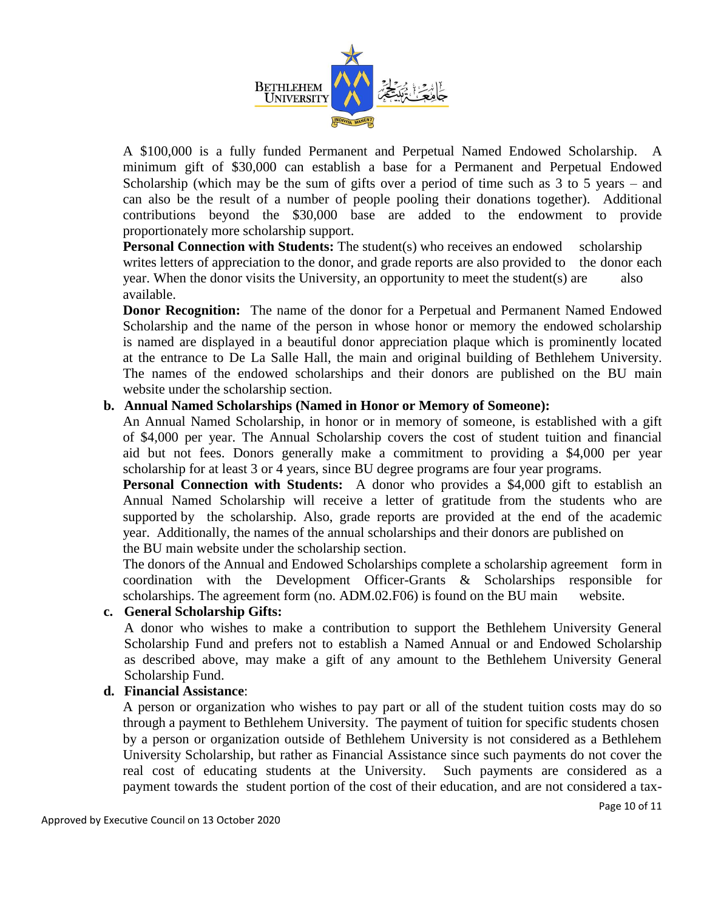

A \$100,000 is a fully funded Permanent and Perpetual Named Endowed Scholarship. A minimum gift of \$30,000 can establish a base for a Permanent and Perpetual Endowed Scholarship (which may be the sum of gifts over a period of time such as 3 to 5 years – and can also be the result of a number of people pooling their donations together). Additional contributions beyond the \$30,000 base are added to the endowment to provide proportionately more scholarship support.

**Personal Connection with Students:** The student(s) who receives an endowed scholarship writes letters of appreciation to the donor, and grade reports are also provided to the donor each year. When the donor visits the University, an opportunity to meet the student(s) are also available.

**Donor Recognition:** The name of the donor for a Perpetual and Permanent Named Endowed Scholarship and the name of the person in whose honor or memory the endowed scholarship is named are displayed in a beautiful donor appreciation plaque which is prominently located at the entrance to De La Salle Hall, the main and original building of Bethlehem University. The names of the endowed scholarships and their donors are published on the BU main website under the scholarship section.

#### **b. Annual Named Scholarships (Named in Honor or Memory of Someone):**

An Annual Named Scholarship, in honor or in memory of someone, is established with a gift of \$4,000 per year. The Annual Scholarship covers the cost of student tuition and financial aid but not fees. Donors generally make a commitment to providing a \$4,000 per year scholarship for at least 3 or 4 years, since BU degree programs are four year programs.

**Personal Connection with Students:** A donor who provides a \$4,000 gift to establish an Annual Named Scholarship will receive a letter of gratitude from the students who are supported by the scholarship. Also, grade reports are provided at the end of the academic year. Additionally, the names of the annual scholarships and their donors are published on the BU main website under the scholarship section.

The donors of the Annual and Endowed Scholarships complete a scholarship agreement form in coordination with the Development Officer-Grants & Scholarships responsible for scholarships. The agreement form (no. ADM.02.F06) is found on the BU main website.

#### **c. General Scholarship Gifts:**

A donor who wishes to make a contribution to support the Bethlehem University General Scholarship Fund and prefers not to establish a Named Annual or and Endowed Scholarship as described above, may make a gift of any amount to the Bethlehem University General Scholarship Fund.

#### **d. Financial Assistance**:

A person or organization who wishes to pay part or all of the student tuition costs may do so through a payment to Bethlehem University. The payment of tuition for specific students chosen by a person or organization outside of Bethlehem University is not considered as a Bethlehem University Scholarship, but rather as Financial Assistance since such payments do not cover the real cost of educating students at the University. Such payments are considered as a payment towards the student portion of the cost of their education, and are not considered a tax-